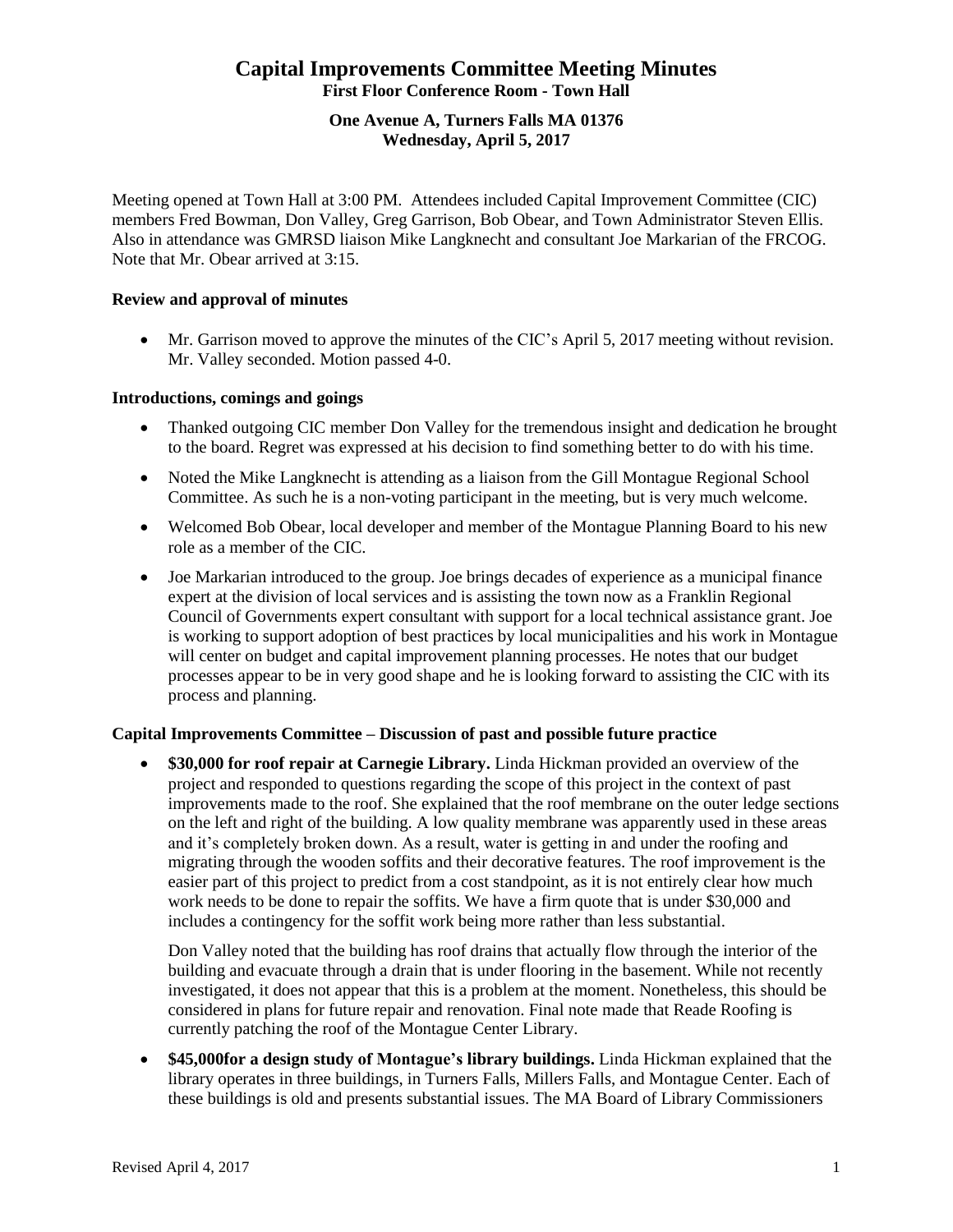# **Capital Improvements Committee Meeting Minutes First Floor Conference Room - Town Hall**

# **One Avenue A, Turners Falls MA 01376 Wednesday, April 5, 2017**

Meeting opened at Town Hall at 3:00 PM. Attendees included Capital Improvement Committee (CIC) members Fred Bowman, Don Valley, Greg Garrison, Bob Obear, and Town Administrator Steven Ellis. Also in attendance was GMRSD liaison Mike Langknecht and consultant Joe Markarian of the FRCOG. Note that Mr. Obear arrived at 3:15.

# **Review and approval of minutes**

 Mr. Garrison moved to approve the minutes of the CIC's April 5, 2017 meeting without revision. Mr. Valley seconded. Motion passed 4-0.

## **Introductions, comings and goings**

- Thanked outgoing CIC member Don Valley for the tremendous insight and dedication he brought to the board. Regret was expressed at his decision to find something better to do with his time.
- Noted the Mike Langknecht is attending as a liaison from the Gill Montague Regional School Committee. As such he is a non-voting participant in the meeting, but is very much welcome.
- Welcomed Bob Obear, local developer and member of the Montague Planning Board to his new role as a member of the CIC.
- Joe Markarian introduced to the group. Joe brings decades of experience as a municipal finance expert at the division of local services and is assisting the town now as a Franklin Regional Council of Governments expert consultant with support for a local technical assistance grant. Joe is working to support adoption of best practices by local municipalities and his work in Montague will center on budget and capital improvement planning processes. He notes that our budget processes appear to be in very good shape and he is looking forward to assisting the CIC with its process and planning.

### **Capital Improvements Committee – Discussion of past and possible future practice**

 **\$30,000 for roof repair at Carnegie Library.** Linda Hickman provided an overview of the project and responded to questions regarding the scope of this project in the context of past improvements made to the roof. She explained that the roof membrane on the outer ledge sections on the left and right of the building. A low quality membrane was apparently used in these areas and it's completely broken down. As a result, water is getting in and under the roofing and migrating through the wooden soffits and their decorative features. The roof improvement is the easier part of this project to predict from a cost standpoint, as it is not entirely clear how much work needs to be done to repair the soffits. We have a firm quote that is under \$30,000 and includes a contingency for the soffit work being more rather than less substantial.

Don Valley noted that the building has roof drains that actually flow through the interior of the building and evacuate through a drain that is under flooring in the basement. While not recently investigated, it does not appear that this is a problem at the moment. Nonetheless, this should be considered in plans for future repair and renovation. Final note made that Reade Roofing is currently patching the roof of the Montague Center Library.

 **\$45,000for a design study of Montague's library buildings.** Linda Hickman explained that the library operates in three buildings, in Turners Falls, Millers Falls, and Montague Center. Each of these buildings is old and presents substantial issues. The MA Board of Library Commissioners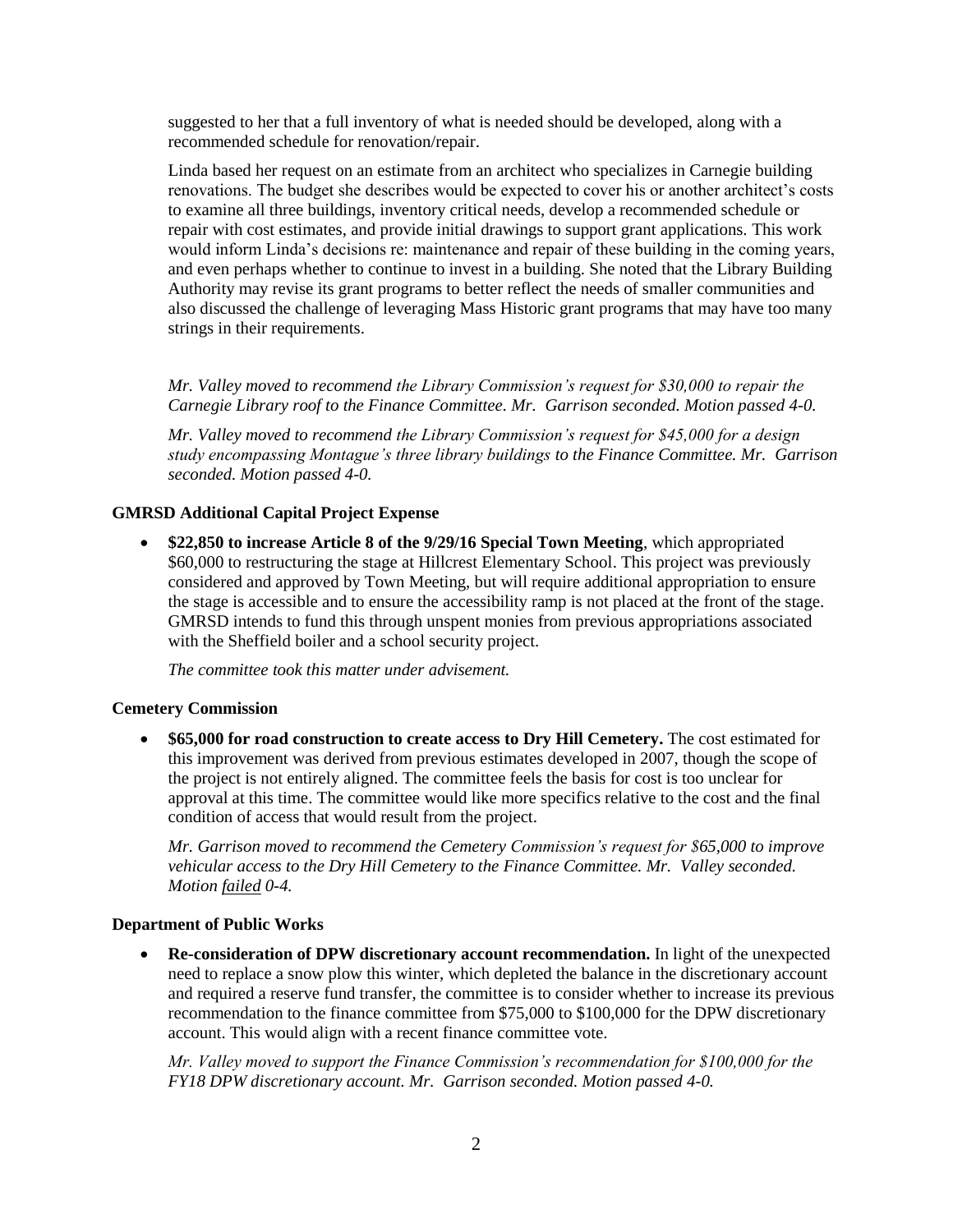suggested to her that a full inventory of what is needed should be developed, along with a recommended schedule for renovation/repair.

Linda based her request on an estimate from an architect who specializes in Carnegie building renovations. The budget she describes would be expected to cover his or another architect's costs to examine all three buildings, inventory critical needs, develop a recommended schedule or repair with cost estimates, and provide initial drawings to support grant applications. This work would inform Linda's decisions re: maintenance and repair of these building in the coming years, and even perhaps whether to continue to invest in a building. She noted that the Library Building Authority may revise its grant programs to better reflect the needs of smaller communities and also discussed the challenge of leveraging Mass Historic grant programs that may have too many strings in their requirements.

*Mr. Valley moved to recommend the Library Commission's request for \$30,000 to repair the Carnegie Library roof to the Finance Committee. Mr. Garrison seconded. Motion passed 4-0.*

*Mr. Valley moved to recommend the Library Commission's request for \$45,000 for a design study encompassing Montague's three library buildings to the Finance Committee. Mr. Garrison seconded. Motion passed 4-0.*

# **GMRSD Additional Capital Project Expense**

 **\$22,850 to increase Article 8 of the 9/29/16 Special Town Meeting**, which appropriated \$60,000 to restructuring the stage at Hillcrest Elementary School. This project was previously considered and approved by Town Meeting, but will require additional appropriation to ensure the stage is accessible and to ensure the accessibility ramp is not placed at the front of the stage. GMRSD intends to fund this through unspent monies from previous appropriations associated with the Sheffield boiler and a school security project.

*The committee took this matter under advisement.*

#### **Cemetery Commission**

 **\$65,000 for road construction to create access to Dry Hill Cemetery.** The cost estimated for this improvement was derived from previous estimates developed in 2007, though the scope of the project is not entirely aligned. The committee feels the basis for cost is too unclear for approval at this time. The committee would like more specifics relative to the cost and the final condition of access that would result from the project.

*Mr. Garrison moved to recommend the Cemetery Commission's request for \$65,000 to improve vehicular access to the Dry Hill Cemetery to the Finance Committee. Mr. Valley seconded. Motion failed 0-4.*

#### **Department of Public Works**

 **Re-consideration of DPW discretionary account recommendation.** In light of the unexpected need to replace a snow plow this winter, which depleted the balance in the discretionary account and required a reserve fund transfer, the committee is to consider whether to increase its previous recommendation to the finance committee from \$75,000 to \$100,000 for the DPW discretionary account. This would align with a recent finance committee vote.

*Mr. Valley moved to support the Finance Commission's recommendation for \$100,000 for the FY18 DPW discretionary account. Mr. Garrison seconded. Motion passed 4-0.*